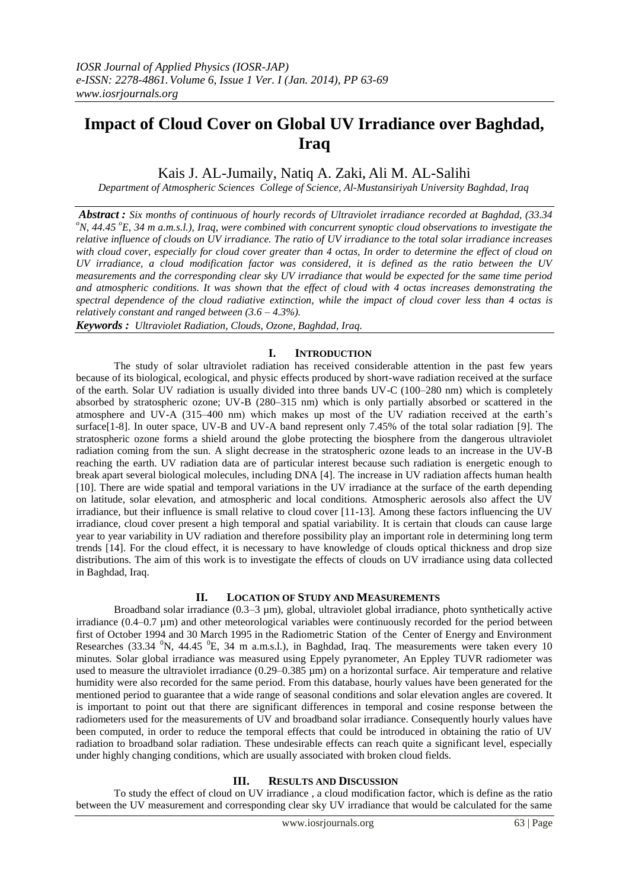# **Impact of Cloud Cover on Global UV Irradiance over Baghdad, Iraq**

Kais J. AL-Jumaily, Natiq A. Zaki**,** Ali M. AL-Salihi

*Department of Atmospheric Sciences College of Science, Al-Mustansiriyah University Baghdad, Iraq*

*Abstract : Six months of continuous of hourly records of Ultraviolet irradiance recorded at Baghdad, (33.34 <sup>o</sup>N, 44.45 <sup>o</sup>E, 34 m a.m.s.l.), Iraq, were combined with concurrent synoptic cloud observations to investigate the relative influence of clouds on UV irradiance. The ratio of UV irradiance to the total solar irradiance increases with cloud cover, especially for cloud cover greater than 4 octas, In order to determine the effect of cloud on UV irradiance, a cloud modification factor was considered, it is defined as the ratio between the UV measurements and the corresponding clear sky UV irradiance that would be expected for the same time period and atmospheric conditions. It was shown that the effect of cloud with 4 octas increases demonstrating the spectral dependence of the cloud radiative extinction, while the impact of cloud cover less than 4 octas is relatively constant and ranged between (3.6 – 4.3%).*

*Keywords : Ultraviolet Radiation, Clouds, Ozone, Baghdad, Iraq.*

## **I. INTRODUCTION**

The study of solar ultraviolet radiation has received considerable attention in the past few years because of its biological, ecological, and physic effects produced by short-wave radiation received at the surface of the earth. Solar UV radiation is usually divided into three bands UV-C (100–280 nm) which is completely absorbed by stratospheric ozone; UV-B (280–315 nm) which is only partially absorbed or scattered in the atmosphere and UV-A (315–400 nm) which makes up most of the UV radiation received at the earth's surface[1-8]. In outer space, UV-B and UV-A band represent only 7.45% of the total solar radiation [9]. The stratospheric ozone forms a shield around the globe protecting the biosphere from the dangerous ultraviolet radiation coming from the sun. A slight decrease in the stratospheric ozone leads to an increase in the UV-B reaching the earth. UV radiation data are of particular interest because such radiation is energetic enough to break apart several biological molecules, including DNA [4]. The increase in UV radiation affects human health [10]. There are wide spatial and temporal variations in the UV irradiance at the surface of the earth depending on latitude, solar elevation, and atmospheric and local conditions. Atmospheric aerosols also affect the UV irradiance, but their influence is small relative to cloud cover [11-13]. Among these factors influencing the UV irradiance, cloud cover present a high temporal and spatial variability. It is certain that clouds can cause large year to year variability in UV radiation and therefore possibility play an important role in determining long term trends [14]. For the cloud effect, it is necessary to have knowledge of clouds optical thickness and drop size distributions. The aim of this work is to investigate the effects of clouds on UV irradiance using data collected in Baghdad, Iraq.

## **II. LOCATION OF STUDY AND MEASUREMENTS**

Broadband solar irradiance (0.3–3 µm), global, ultraviolet global irradiance, photo synthetically active irradiance (0.4–0.7 µm) and other meteorological variables were continuously recorded for the period between first of October 1994 and 30 March 1995 in the Radiometric Station of the Center of Energy and Environment Researches (33.34  $\rm^{0}N$ , 44.45  $\rm^{0}E$ , 34 m a.m.s.l.), in Baghdad, Iraq. The measurements were taken every 10 minutes. Solar global irradiance was measured using Eppely pyranometer, An Eppley TUVR radiometer was used to measure the ultraviolet irradiance  $(0.29 - 0.385 \,\mu\text{m})$  on a horizontal surface. Air temperature and relative humidity were also recorded for the same period. From this database, hourly values have been generated for the mentioned period to guarantee that a wide range of seasonal conditions and solar elevation angles are covered. It is important to point out that there are significant differences in temporal and cosine response between the radiometers used for the measurements of UV and broadband solar irradiance. Consequently hourly values have been computed, in order to reduce the temporal effects that could be introduced in obtaining the ratio of UV radiation to broadband solar radiation. These undesirable effects can reach quite a significant level, especially under highly changing conditions, which are usually associated with broken cloud fields.

# **III. RESULTS AND DISCUSSION**

To study the effect of cloud on UV irradiance , a cloud modification factor, which is define as the ratio between the UV measurement and corresponding clear sky UV irradiance that would be calculated for the same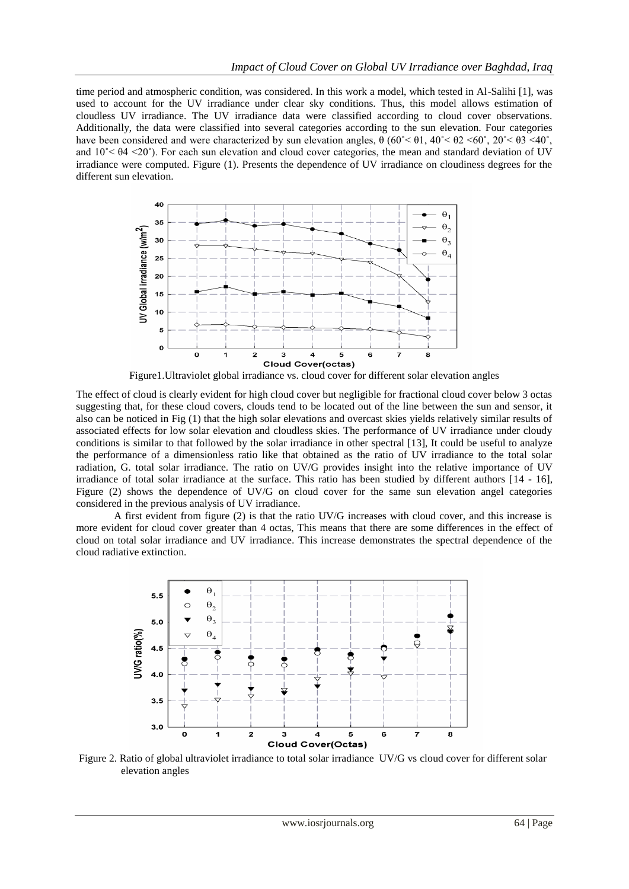time period and atmospheric condition, was considered. In this work a model, which tested in Al-Salihi [1], was used to account for the UV irradiance under clear sky conditions. Thus, this model allows estimation of cloudless UV irradiance. The UV irradiance data were classified according to cloud cover observations. Additionally, the data were classified into several categories according to the sun elevation. Four categories have been considered and were characterized by sun elevation angles,  $\theta$  (60° <  $\theta$ 1, 40° <  $\theta$ 2 <  $\theta$ 0°, 20° <  $\theta$ 3 < 40°, and  $10<sup>°</sup> < \theta$ 4 <20°). For each sun elevation and cloud cover categories, the mean and standard deviation of UV irradiance were computed. Figure (1). Presents the dependence of UV irradiance on cloudiness degrees for the different sun elevation.



Figure1.Ultraviolet global irradiance vs. cloud cover for different solar elevation angles

The effect of cloud is clearly evident for high cloud cover but negligible for fractional cloud cover below 3 octas suggesting that, for these cloud covers, clouds tend to be located out of the line between the sun and sensor, it also can be noticed in Fig (1) that the high solar elevations and overcast skies yields relatively similar results of associated effects for low solar elevation and cloudless skies. The performance of UV irradiance under cloudy conditions is similar to that followed by the solar irradiance in other spectral [13], It could be useful to analyze the performance of a dimensionless ratio like that obtained as the ratio of UV irradiance to the total solar radiation, G. total solar irradiance. The ratio on UV/G provides insight into the relative importance of UV irradiance of total solar irradiance at the surface. This ratio has been studied by different authors [14 - 16], Figure (2) shows the dependence of UV/G on cloud cover for the same sun elevation angel categories considered in the previous analysis of UV irradiance.

A first evident from figure (2) is that the ratio UV/G increases with cloud cover, and this increase is more evident for cloud cover greater than 4 octas, This means that there are some differences in the effect of cloud on total solar irradiance and UV irradiance. This increase demonstrates the spectral dependence of the cloud radiative extinction.



Figure 2. Ratio of global ultraviolet irradiance to total solar irradiance UV/G vs cloud cover for different solar elevation angles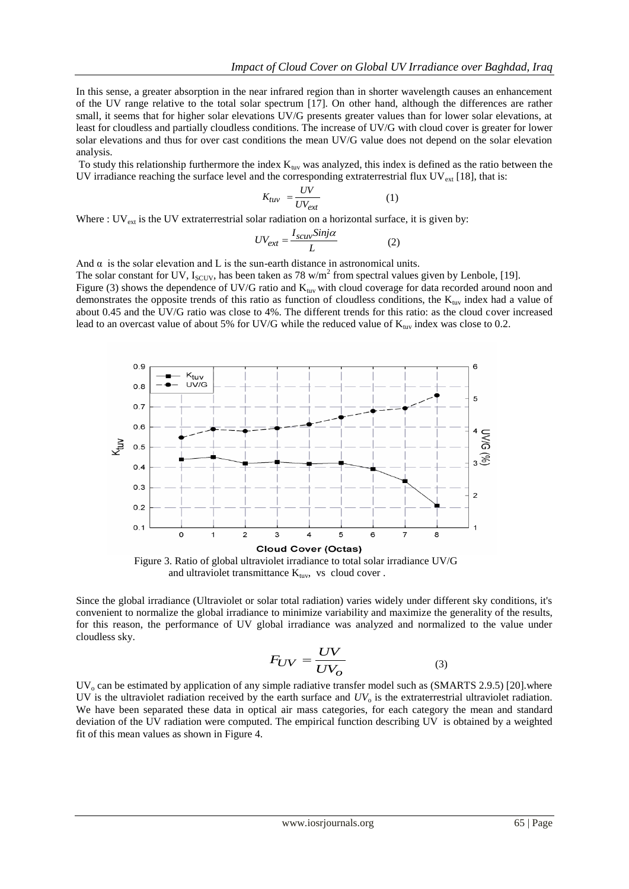In this sense, a greater absorption in the near infrared region than in shorter wavelength causes an enhancement of the UV range relative to the total solar spectrum [17]. On other hand, although the differences are rather small, it seems that for higher solar elevations UV/G presents greater values than for lower solar elevations, at least for cloudless and partially cloudless conditions. The increase of UV/G with cloud cover is greater for lower solar elevations and thus for over cast conditions the mean UV/G value does not depend on the solar elevation analysis.

To study this relationship furthermore the index  $K_{uv}$  was analyzed, this index is defined as the ratio between the UV irradiance reaching the surface level and the corresponding extraterrestrial flux  $UV_{ext}$  [18], that is:

$$
K_{tuv} = \frac{UV}{UV_{ext}} \tag{1}
$$

Where :  $UV_{ext}$  is the UV extraterrestrial solar radiation on a horizontal surface, it is given by:

$$
UV_{ext} = \frac{I_{scuv} \sin j\alpha}{L} \tag{2}
$$

And  $\alpha$  is the solar elevation and L is the sun-earth distance in astronomical units.

The solar constant for UV,  $I_{SCUV}$ , has been taken as 78 w/m<sup>2</sup> from spectral values given by Lenbole, [19]. Figure (3) shows the dependence of UV/G ratio and  $K_{\text{tuv}}$  with cloud coverage for data recorded around noon and demonstrates the opposite trends of this ratio as function of cloudless conditions, the  $K_{\text{tuv}}$  index had a value of about 0.45 and the UV/G ratio was close to 4%. The different trends for this ratio: as the cloud cover increased lead to an overcast value of about 5% for UV/G while the reduced value of  $K_{\text{tuv}}$  index was close to 0.2.



 Figure 3. Ratio of global ultraviolet irradiance to total solar irradiance UV/G and ultraviolet transmittance  $K_{\text{tuv}}$ , vs cloud cover .

Since the global irradiance (Ultraviolet or solar total radiation) varies widely under different sky conditions, it's convenient to normalize the global irradiance to minimize variability and maximize the generality of the results, for this reason, the performance of UV global irradiance was analyzed and normalized to the value under cloudless sky.

$$
F_{UV} = \frac{UV}{UV_O} \tag{3}
$$

 $UV_0$  can be estimated by application of any simple radiative transfer model such as (SMARTS 2.9.5) [20].where UV is the ultraviolet radiation received by the earth surface and  $UV_0$  is the extraterrestrial ultraviolet radiation. We have been separated these data in optical air mass categories, for each category the mean and standard deviation of the UV radiation were computed. The empirical function describing UV is obtained by a weighted fit of this mean values as shown in Figure 4.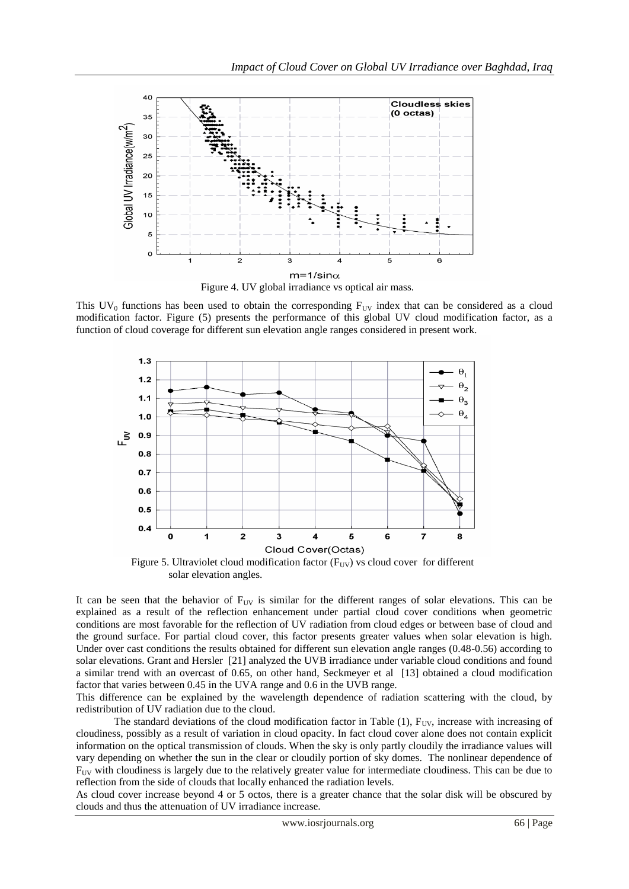

This  $UV_0$  functions has been used to obtain the corresponding  $F_{UV}$  index that can be considered as a cloud modification factor. Figure (5) presents the performance of this global UV cloud modification factor, as a function of cloud coverage for different sun elevation angle ranges considered in present work.



Figure 5. Ultraviolet cloud modification factor  $(F_{UV})$  vs cloud cover for different solar elevation angles.

It can be seen that the behavior of  $F_{UV}$  is similar for the different ranges of solar elevations. This can be explained as a result of the reflection enhancement under partial cloud cover conditions when geometric conditions are most favorable for the reflection of UV radiation from cloud edges or between base of cloud and the ground surface. For partial cloud cover, this factor presents greater values when solar elevation is high. Under over cast conditions the results obtained for different sun elevation angle ranges (0.48-0.56) according to solar elevations. Grant and Hersler [21] analyzed the UVB irradiance under variable cloud conditions and found a similar trend with an overcast of 0.65, on other hand, Seckmeyer et al [13] obtained a cloud modification factor that varies between 0.45 in the UVA range and 0.6 in the UVB range.

This difference can be explained by the wavelength dependence of radiation scattering with the cloud, by redistribution of UV radiation due to the cloud.

The standard deviations of the cloud modification factor in Table  $(1)$ ,  $F_{UV}$ , increase with increasing of cloudiness, possibly as a result of variation in cloud opacity. In fact cloud cover alone does not contain explicit information on the optical transmission of clouds. When the sky is only partly cloudily the irradiance values will vary depending on whether the sun in the clear or cloudily portion of sky domes. The nonlinear dependence of  $F_{\text{UV}}$  with cloudiness is largely due to the relatively greater value for intermediate cloudiness. This can be due to reflection from the side of clouds that locally enhanced the radiation levels.

As cloud cover increase beyond 4 or 5 octos, there is a greater chance that the solar disk will be obscured by clouds and thus the attenuation of UV irradiance increase.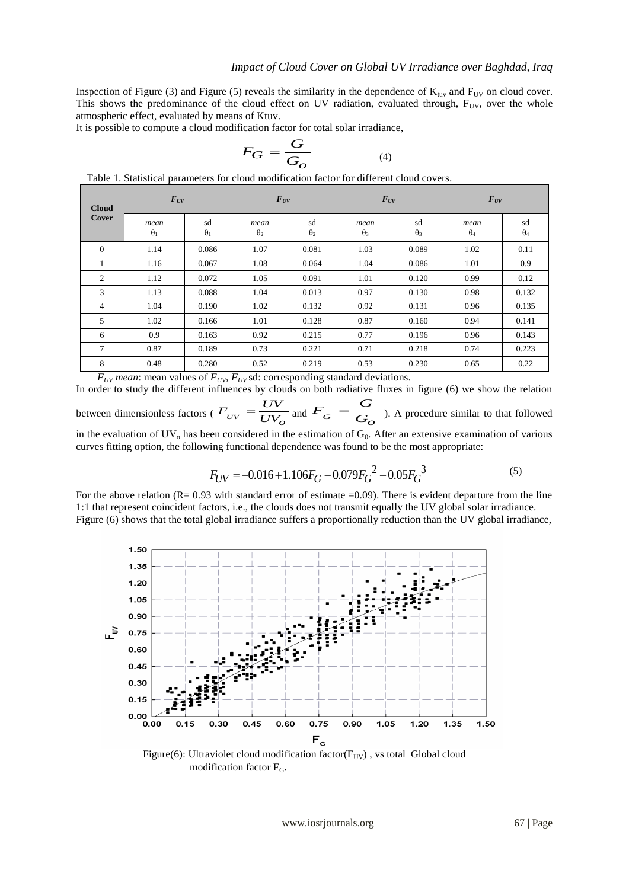Inspection of Figure (3) and Figure (5) reveals the similarity in the dependence of  $K_{\text{uv}}$  and  $F_{\text{UV}}$  on cloud cover. This shows the predominance of the cloud effect on UV radiation, evaluated through,  $F_{UV}$ , over the whole atmospheric effect, evaluated by means of Ktuv.

It is possible to compute a cloud modification factor for total solar irradiance,

$$
F_G = \frac{G}{G_O} \tag{4}
$$

| <b>Cloud</b><br>Cover | $F_{UV}$           |                  | $\bm{F}_{UV}$      |                  | $F_{UV}$           |                  | $\bm{F}_{UV}$      |                  |
|-----------------------|--------------------|------------------|--------------------|------------------|--------------------|------------------|--------------------|------------------|
|                       | mean<br>$\theta_1$ | sd<br>$\theta_1$ | mean<br>$\theta_2$ | sd<br>$\theta_2$ | mean<br>$\theta_3$ | sd<br>$\theta_3$ | mean<br>$\theta_4$ | sd<br>$\theta_4$ |
| $\theta$              | 1.14               | 0.086            | 1.07               | 0.081            | 1.03               | 0.089            | 1.02               | 0.11             |
|                       | 1.16               | 0.067            | 1.08               | 0.064            | 1.04               | 0.086            | 1.01               | 0.9              |
| $\overline{2}$        | 1.12               | 0.072            | 1.05               | 0.091            | 1.01               | 0.120            | 0.99               | 0.12             |
| 3                     | 1.13               | 0.088            | 1.04               | 0.013            | 0.97               | 0.130            | 0.98               | 0.132            |
| $\overline{4}$        | 1.04               | 0.190            | 1.02               | 0.132            | 0.92               | 0.131            | 0.96               | 0.135            |
| 5                     | 1.02               | 0.166            | 1.01               | 0.128            | 0.87               | 0.160            | 0.94               | 0.141            |
| 6                     | 0.9                | 0.163            | 0.92               | 0.215            | 0.77               | 0.196            | 0.96               | 0.143            |
| $\tau$                | 0.87               | 0.189            | 0.73               | 0.221            | 0.71               | 0.218            | 0.74               | 0.223            |
| 8                     | 0.48               | 0.280            | 0.52               | 0.219            | 0.53               | 0.230            | 0.65               | 0.22             |

Table 1. Statistical parameters for cloud modification factor for different cloud covers.

 $F_{UV}$  *mean*: mean values of  $F_{UV}$ ,  $F_{UV}$ sd: corresponding standard deviations.

In order to study the different influences by clouds on both radiative fluxes in figure (6) we show the relation

between dimensionless factors ( $F_{UV} = \overline{UV_O}$  $F_{UV} = \frac{UV}{UV_c}$  $=\frac{UV}{UV_o}$  and  $F_G = \frac{G}{G_o}$  $F_G = \frac{G}{G_c}$  $=\frac{G}{G}$ ). A procedure similar to that followed in the evaluation of  $UV_0$  has been considered in the estimation of  $G_0$ . After an extensive examination of various

curves fitting option, the following functional dependence was found to be the most appropriate:

$$
F_{UV} = -0.016 + 1.106F_G - 0.079F_G^2 - 0.05F_G^3
$$
\n<sup>(5)</sup>

For the above relation ( $R = 0.93$  with standard error of estimate  $=0.09$ ). There is evident departure from the line 1:1 that represent coincident factors, i.e., the clouds does not transmit equally the UV global solar irradiance. Figure (6) shows that the total global irradiance suffers a proportionally reduction than the UV global irradiance,



Figure(6): Ultraviolet cloud modification factor( $F_{UV}$ ), vs total Global cloud modification factor FG.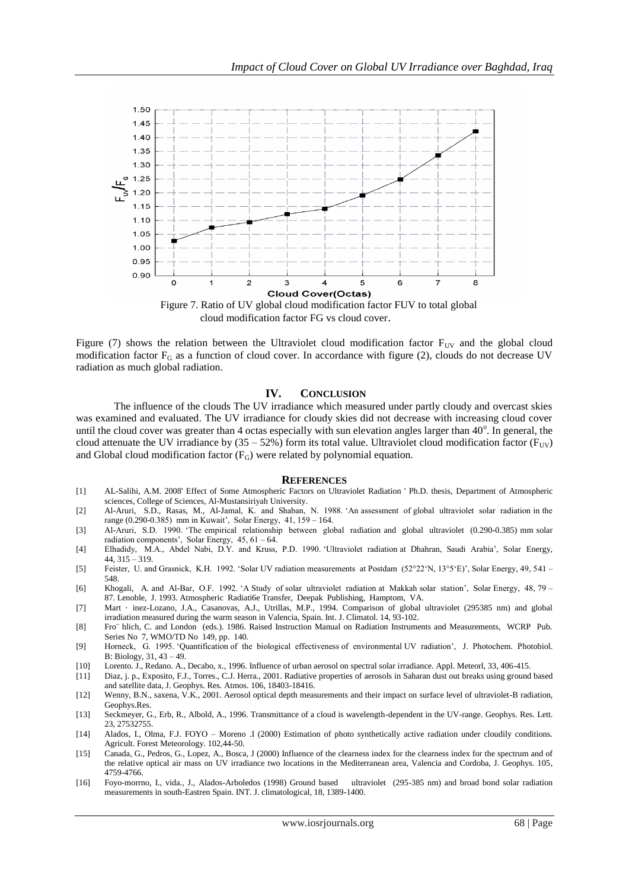

cloud modification factor FG vs cloud cover.

Figure (7) shows the relation between the Ultraviolet cloud modification factor  $F_{UV}$  and the global cloud modification factor  $F_G$  as a function of cloud cover. In accordance with figure (2), clouds do not decrease UV radiation as much global radiation.

### **IV. CONCLUSION**

The influence of the clouds The UV irradiance which measured under partly cloudy and overcast skies was examined and evaluated. The UV irradiance for cloudy skies did not decrease with increasing cloud cover until the cloud cover was greater than 4 octas especially with sun elevation angles larger than  $40^\circ$ . In general, the cloud attenuate the UV irradiance by  $(35 - 52%)$  form its total value. Ultraviolet cloud modification factor (F<sub>UV</sub>) and Global cloud modification factor  $(F_G)$  were related by polynomial equation.

#### **REFERENCES**

- [1] AL-Salihi, A.M. 2008' Effect of Some Atmospheric Factors on Ultraviolet Radiation ' Ph.D. thesis, Department of Atmospheric sciences, College of Sciences, Al-Mustansiriyah University.
- [2] Al-Aruri, S.D., Rasas, M., Al-Jamal, K. and Shaban, N. 1988. 'An assessment of global ultraviolet solar radiation in the range (0.290-0.385) mm in Kuwait', Solar Energy, 41, 159 – 164.
- [3] Al-Aruri, S.D. 1990. 'The empirical relationship between global radiation and global ultraviolet (0.290-0.385) mm solar radiation components', Solar Energy, 45, 61 – 64.
- [4] Elhadidy, M.A., Abdel Nabi, D.Y. and Kruss, P.D. 1990. 'Ultraviolet radiation at Dhahran, Saudi Arabia', Solar Energy, 44, 315 – 319.
- [5] Feister, U. and Grasnick, K.H. 1992. 'Solar UV radiation measurements at Postdam (52°22'N, 13°5'E)', Solar Energy, 49, 541 548.
- [6] Khogali, A. and Al-Bar, O.F. 1992. 'A Study of solar ultraviolet radiation at Makkah solar station', Solar Energy, 48, 79 87. Lenoble, J. 1993. Atmospheric Radiati6e Transfer, Deepak Publishing, Hamptom, VA.
- [7] Mart · inez-Lozano, J.A., Casanovas, A.J., Utrillas, M.P., 1994. Comparison of global ultraviolet (295385 nm) and global irradiation measured during the warm season in Valencia, Spain. Int. J. Climatol. 14, 93-102.
- [8] Fro¨ hlich, C. and London (eds.). 1986. Raised Instruction Manual on Radiation Instruments and Measurements, WCRP Pub. Series No 7, WMO/TD No 149, pp. 140.
- [9] Horneck, G. 1995. 'Quantification of the biological effectiveness of environmental UV radiation', J. Photochem. Photobiol. B: Biology, 31, 43 – 49.
- [10] Lorento. J., Redano. A., Decabo, x., 1996. Influence of urban aerosol on spectral solar irradiance. Appl. Meteorl, 33, 406-415.
- [11] Diaz, j. p., Exposito, F.J., Torres., C.J. Herra., 2001. Radiative properties of aerosols in Saharan dust out breaks using ground based and satellite data, J. Geophys. Res. Atmos. 106, 18403-18416.
- [12] Wenny, B.N., saxena, V.K., 2001. Aerosol optical depth measurements and their impact on surface level of ultraviolet-B radiation, Geophys.Res.
- [13] Seckmeyer, G., Erb, R., Albold, A., 1996. Transmittance of a cloud is wavelength-dependent in the UV-range. Geophys. Res. Lett. 23, 27532755.
- [14] Alados, I., Olma, F.J. FOYO Moreno .I (2000) Estimation of photo synthetically active radiation under cloudily conditions. Agricult. Forest Meteorology. 102,44-50.
- [15] Canada, G., Pedros, G., Lopez, A., Bosca, J (2000) Influence of the clearness index for the clearness index for the spectrum and of the relative optical air mass on UV irradiance two locations in the Mediterranean area, Valencia and Cordoba, J. Geophys. 105, 4759-4766.
- [16] Foyo-morrno, I., vida., J., Alados-Arboledos (1998) Ground based ultraviolet (295-385 nm) and broad bond solar radiation measurements in south-Eastren Spain. INT. J. climatological, 18, 1389-1400.